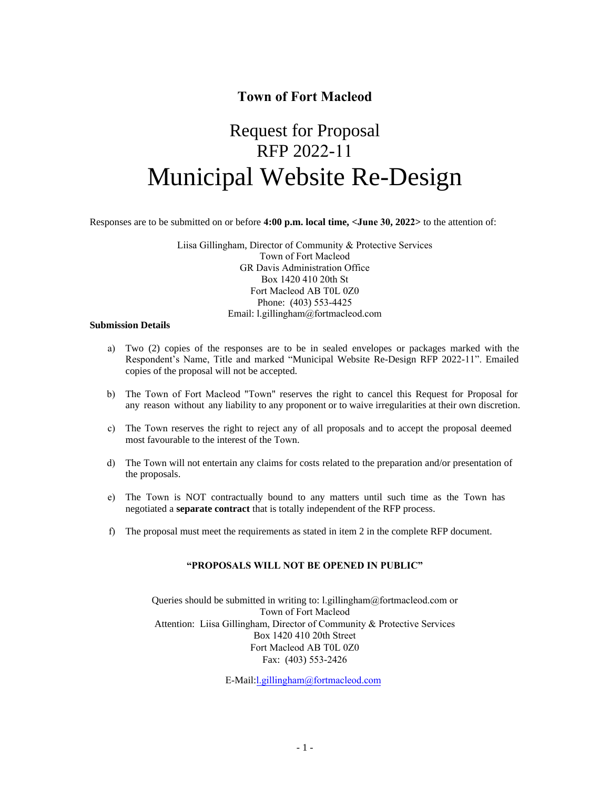# **Town of Fort Macleod**

# Request for Proposal RFP 2022-11 Municipal Website Re-Design

Responses are to be submitted on or before **4:00 p.m. local time, <June 30, 2022>** to the attention of:

Liisa Gillingham, Director of Community & Protective Services Town of Fort Macleod GR Davis Administration Office Box 1420 410 20th St Fort Macleod AB T0L 0Z0 Phone: (403) 553-4425 Email: l.gillingham@fortmacleod.com

#### **Submission Details**

- a) Two (2) copies of the responses are to be in sealed envelopes or packages marked with the Respondent's Name, Title and marked "Municipal Website Re-Design RFP 2022-11". Emailed copies of the proposal will not be accepted.
- b) The Town of Fort Macleod "Town" reserves the right to cancel this Request for Proposal for any reason without any liability to any proponent or to waive irregularities at their own discretion.
- c) The Town reserves the right to reject any of all proposals and to accept the proposal deemed most favourable to the interest of the Town.
- d) The Town will not entertain any claims for costs related to the preparation and/or presentation of the proposals.
- e) The Town is NOT contractually bound to any matters until such time as the Town has negotiated a **separate contract** that is totally independent of the RFP process.
- f) The proposal must meet the requirements as stated in item 2 in the complete RFP document.

#### **"PROPOSALS WILL NOT BE OPENED IN PUBLIC"**

Queries should be submitted in writing to: l.gillingham@fortmacleod.com or Town of Fort Macleod Attention: Liisa Gillingham, Director of Community & Protective Services Box 1420 410 20th Street Fort Macleod AB T0L 0Z0 Fax: (403) 553-2426

E-Mail:l.gillingham@fortmacleod.com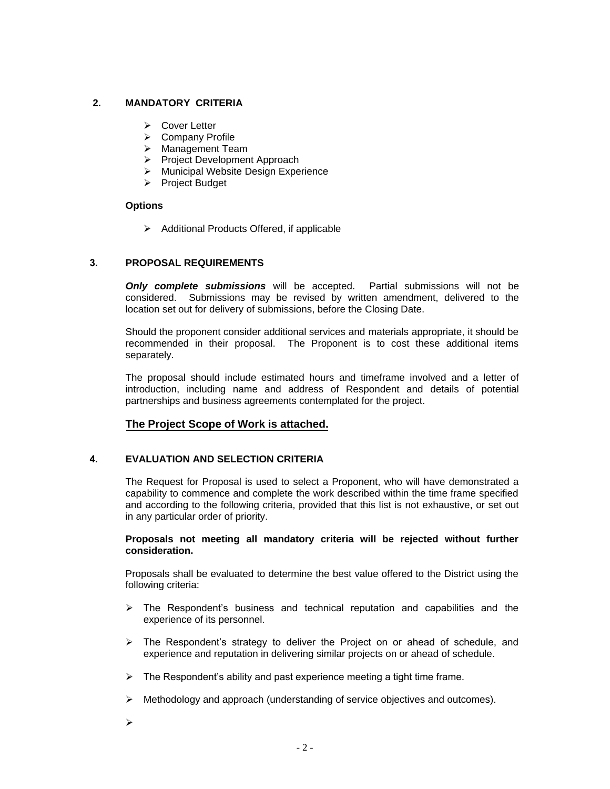# **2. MANDATORY CRITERIA**

- ➢ Cover Letter
- ➢ Company Profile
- ➢ Management Team
- ➢ Project Development Approach
- ➢ Municipal Website Design Experience
- ➢ Project Budget

#### **Options**

➢ Additional Products Offered, if applicable

### **3. PROPOSAL REQUIREMENTS**

*Only complete submissions* will be accepted. Partial submissions will not be considered. Submissions may be revised by written amendment, delivered to the location set out for delivery of submissions, before the Closing Date.

Should the proponent consider additional services and materials appropriate, it should be recommended in their proposal. The Proponent is to cost these additional items separately.

The proposal should include estimated hours and timeframe involved and a letter of introduction, including name and address of Respondent and details of potential partnerships and business agreements contemplated for the project.

# **The Project Scope of Work is attached.**

# **4. EVALUATION AND SELECTION CRITERIA**

The Request for Proposal is used to select a Proponent, who will have demonstrated a capability to commence and complete the work described within the time frame specified and according to the following criteria, provided that this list is not exhaustive, or set out in any particular order of priority.

#### **Proposals not meeting all mandatory criteria will be rejected without further consideration.**

Proposals shall be evaluated to determine the best value offered to the District using the following criteria:

- $\triangleright$  The Respondent's business and technical reputation and capabilities and the experience of its personnel.
- $\triangleright$  The Respondent's strategy to deliver the Project on or ahead of schedule, and experience and reputation in delivering similar projects on or ahead of schedule.
- $\triangleright$  The Respondent's ability and past experience meeting a tight time frame.
- $\triangleright$  Methodology and approach (understanding of service objectives and outcomes).
- ➢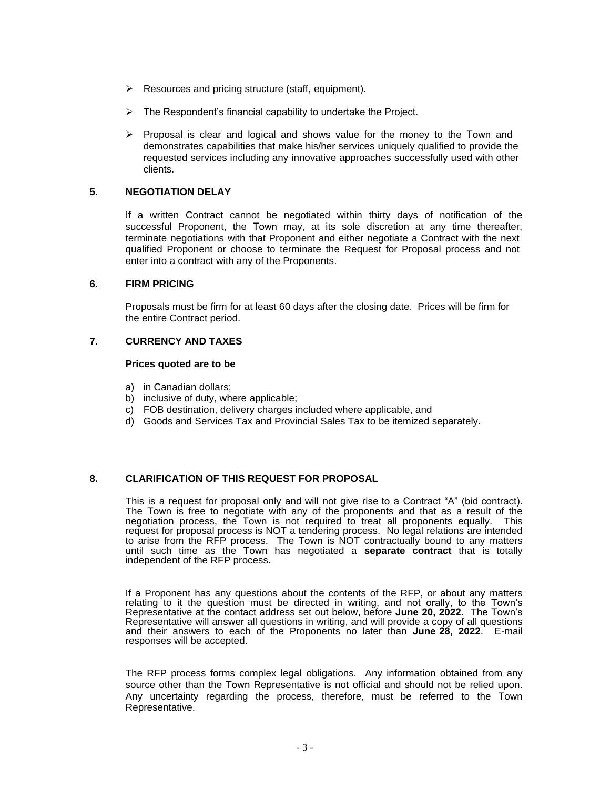- $\triangleright$  Resources and pricing structure (staff, equipment).
- $\triangleright$  The Respondent's financial capability to undertake the Project.
- $\triangleright$  Proposal is clear and logical and shows value for the money to the Town and demonstrates capabilities that make his/her services uniquely qualified to provide the requested services including any innovative approaches successfully used with other clients.

### **5. NEGOTIATION DELAY**

If a written Contract cannot be negotiated within thirty days of notification of the successful Proponent, the Town may, at its sole discretion at any time thereafter, terminate negotiations with that Proponent and either negotiate a Contract with the next qualified Proponent or choose to terminate the Request for Proposal process and not enter into a contract with any of the Proponents.

#### **6. FIRM PRICING**

Proposals must be firm for at least 60 days after the closing date. Prices will be firm for the entire Contract period.

#### **7. CURRENCY AND TAXES**

#### **Prices quoted are to be**

- a) in Canadian dollars;
- b) inclusive of duty, where applicable;
- c) FOB destination, delivery charges included where applicable, and
- d) Goods and Services Tax and Provincial Sales Tax to be itemized separately.

#### **8. CLARIFICATION OF THIS REQUEST FOR PROPOSAL**

This is a request for proposal only and will not give rise to a Contract "A" (bid contract). The Town is free to negotiate with any of the proponents and that as a result of the negotiation process, the Town is not required to treat all proponents equally. This request for proposal process is NOT a tendering process. No legal relations are intended to arise from the RFP process. The Town is NOT contractually bound to any matters until such time as the Town has negotiated a **separate contract** that is totally independent of the RFP process.

If a Proponent has any questions about the contents of the RFP, or about any matters relating to it the question must be directed in writing, and not orally, to the Town's Representative at the contact address set out below, before **June 20, 2022.** The Town's Representative will answer all questions in writing, and will provide a copy of all questions and their answers to each of the Proponents no later than **June 28, 2022**. E-mail responses will be accepted.

The RFP process forms complex legal obligations. Any information obtained from any source other than the Town Representative is not official and should not be relied upon. Any uncertainty regarding the process, therefore, must be referred to the Town Representative.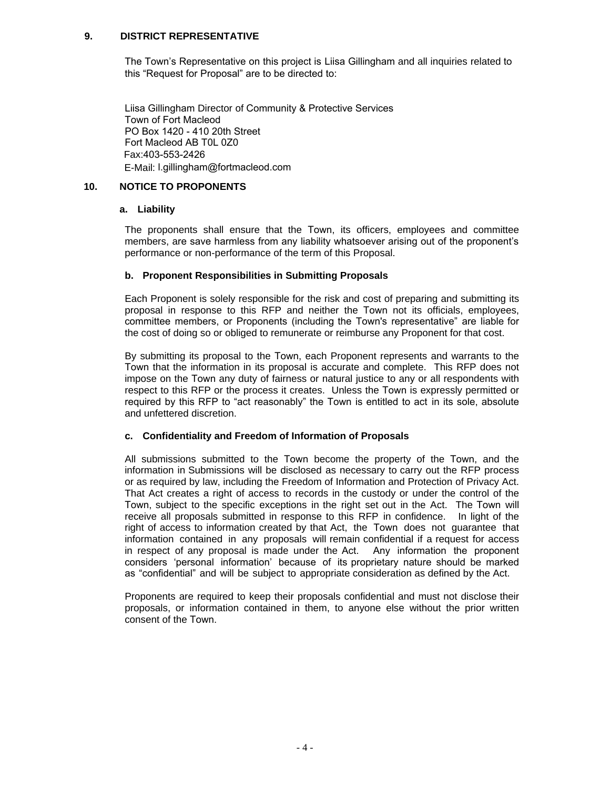### **9. DISTRICT REPRESENTATIVE**

The Town's Representative on this project is Liisa Gillingham and all inquiries related to this "Request for Proposal" are to be directed to:

Liisa Gillingham Director of Community & Protective Services Town of Fort Macleod PO Box 1420 - 410 20th Street Fort Macleod AB T0L 0Z0 Fax:403-553-2426 E-Mail: l.gillingham@fortmacleod.com

### **10. NOTICE TO PROPONENTS**

#### **a. Liability**

The proponents shall ensure that the Town, its officers, employees and committee members, are save harmless from any liability whatsoever arising out of the proponent's performance or non-performance of the term of this Proposal.

#### **b. Proponent Responsibilities in Submitting Proposals**

Each Proponent is solely responsible for the risk and cost of preparing and submitting its proposal in response to this RFP and neither the Town not its officials, employees, committee members, or Proponents (including the Town's representative" are liable for the cost of doing so or obliged to remunerate or reimburse any Proponent for that cost.

By submitting its proposal to the Town, each Proponent represents and warrants to the Town that the information in its proposal is accurate and complete. This RFP does not impose on the Town any duty of fairness or natural justice to any or all respondents with respect to this RFP or the process it creates. Unless the Town is expressly permitted or required by this RFP to "act reasonably" the Town is entitled to act in its sole, absolute and unfettered discretion.

#### **c. Confidentiality and Freedom of Information of Proposals**

All submissions submitted to the Town become the property of the Town, and the information in Submissions will be disclosed as necessary to carry out the RFP process or as required by law, including the Freedom of Information and Protection of Privacy Act. That Act creates a right of access to records in the custody or under the control of the Town, subject to the specific exceptions in the right set out in the Act. The Town will receive all proposals submitted in response to this RFP in confidence. In light of the right of access to information created by that Act, the Town does not guarantee that information contained in any proposals will remain confidential if a request for access in respect of any proposal is made under the Act. Any information the proponent considers 'personal information' because of its proprietary nature should be marked as "confidential" and will be subject to appropriate consideration as defined by the Act.

Proponents are required to keep their proposals confidential and must not disclose their proposals, or information contained in them, to anyone else without the prior written consent of the Town.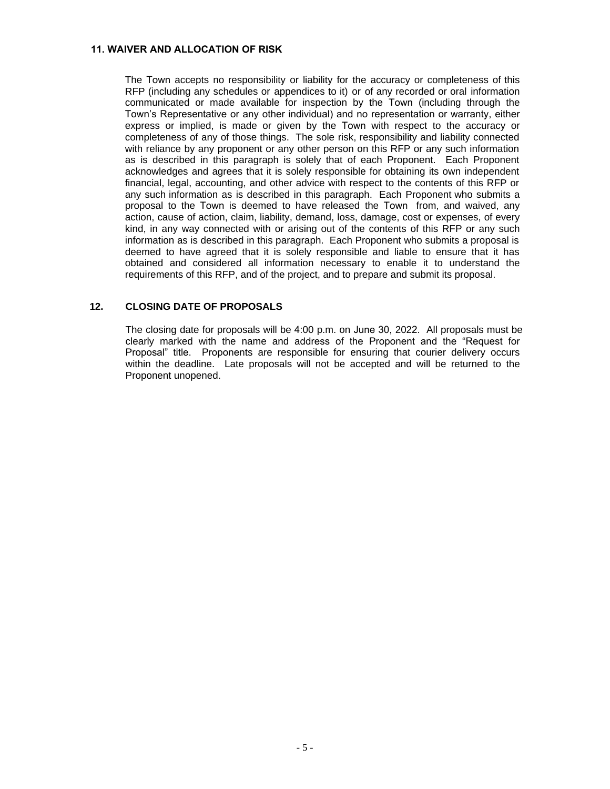#### **11. WAIVER AND ALLOCATION OF RISK**

The Town accepts no responsibility or liability for the accuracy or completeness of this RFP (including any schedules or appendices to it) or of any recorded or oral information communicated or made available for inspection by the Town (including through the Town's Representative or any other individual) and no representation or warranty, either express or implied, is made or given by the Town with respect to the accuracy or completeness of any of those things. The sole risk, responsibility and liability connected with reliance by any proponent or any other person on this RFP or any such information as is described in this paragraph is solely that of each Proponent. Each Proponent acknowledges and agrees that it is solely responsible for obtaining its own independent financial, legal, accounting, and other advice with respect to the contents of this RFP or any such information as is described in this paragraph. Each Proponent who submits a proposal to the Town is deemed to have released the Town from, and waived, any action, cause of action, claim, liability, demand, loss, damage, cost or expenses, of every kind, in any way connected with or arising out of the contents of this RFP or any such information as is described in this paragraph. Each Proponent who submits a proposal is deemed to have agreed that it is solely responsible and liable to ensure that it has obtained and considered all information necessary to enable it to understand the requirements of this RFP, and of the project, and to prepare and submit its proposal.

#### **12. CLOSING DATE OF PROPOSALS**

The closing date for proposals will be 4:00 p.m. on June 30, 2022. All proposals must be clearly marked with the name and address of the Proponent and the "Request for Proposal" title. Proponents are responsible for ensuring that courier delivery occurs within the deadline. Late proposals will not be accepted and will be returned to the Proponent unopened.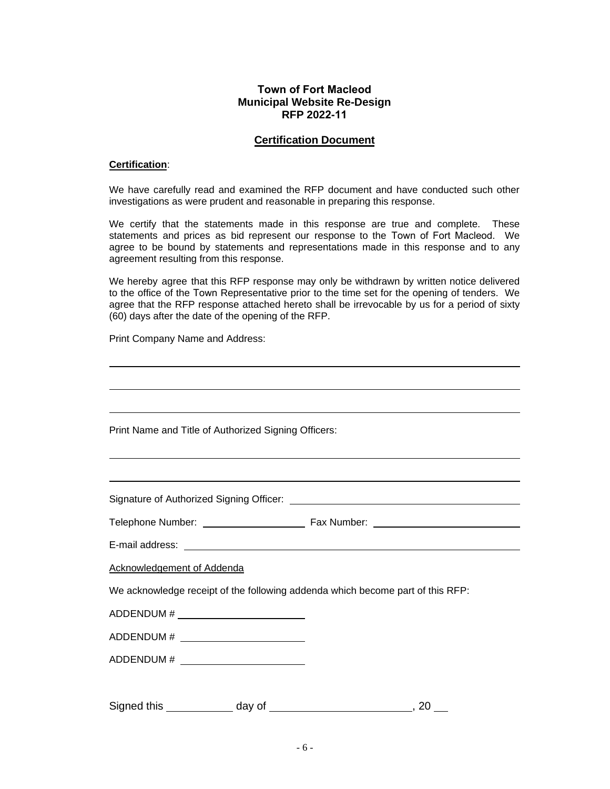# **Town of Fort Macleod Municipal Website Re-Design RFP 2022-11**

#### **Certification Document**

#### **Certification**:

We have carefully read and examined the RFP document and have conducted such other investigations as were prudent and reasonable in preparing this response.

We certify that the statements made in this response are true and complete. These statements and prices as bid represent our response to the Town of Fort Macleod. We agree to be bound by statements and representations made in this response and to any agreement resulting from this response.

We hereby agree that this RFP response may only be withdrawn by written notice delivered to the office of the Town Representative prior to the time set for the opening of tenders. We agree that the RFP response attached hereto shall be irrevocable by us for a period of sixty (60) days after the date of the opening of the RFP.

Print Company Name and Address:

Print Name and Title of Authorized Signing Officers:

Signature of Authorized Signing Officer:

Telephone Number: Telephone Number:

E-mail address:

Acknowledgement of Addenda

We acknowledge receipt of the following addenda which become part of this RFP:

ADDENDUM #  $\qquad \qquad$ 

ADDENDUM # **\_\_\_\_\_\_\_\_\_\_** 

ADDENDUM #

Signed this day of day of the state of the state of the state of the state of the state of the state of the state of the state of the state of the state of the state of the state of the state of the state of the state of t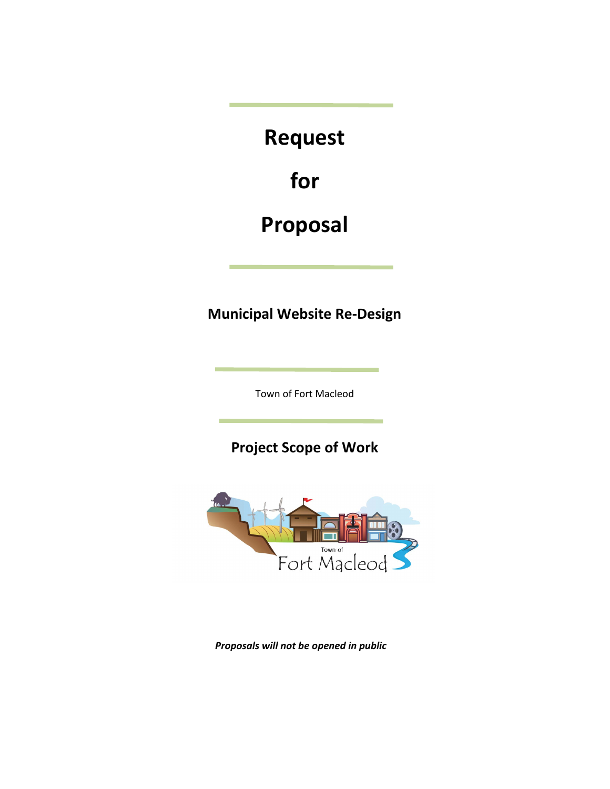**Request** 

**for**

# **Proposal**

**Municipal Website Re-Design** 

Town of Fort Macleod

**Project Scope of Work** 



*Proposals will not be opened in public*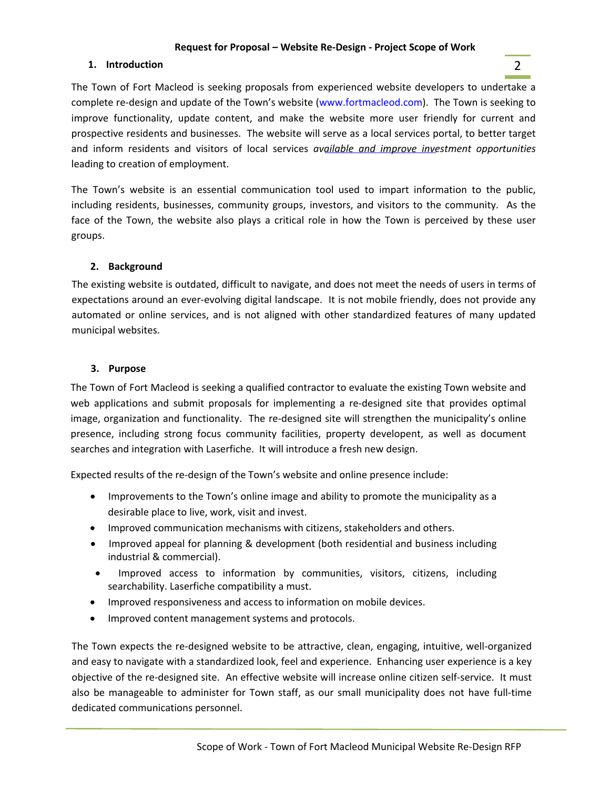# **Request for Proposal – Website Re-Design - Project Scope of Work**

# **1. Introduction** 2

The Town of Fort Macleod is seeking proposals from experienced website developers to undertake a complete re-design and update of the Town's website (www.fortmacleod.com). The Town is seeking to improve functionality, update content, and make the website more user friendly for current and prospective residents and businesses. The website will serve as a local services portal, to better target and inform residents and visitors of local services *available and improve investment opportunities*  leading to creation of employment.

The Town's website is an essential communication tool used to impart information to the public, including residents, businesses, community groups, investors, and visitors to the community. As the face of the Town, the website also plays a critical role in how the Town is perceived by these user groups.

# **2. Background**

The existing website is outdated, difficult to navigate, and does not meet the needs of users in terms of expectations around an ever-evolving digital landscape. It is not mobile friendly, does not provide any automated or online services, and is not aligned with other standardized features of many updated municipal websites.

# **3. Purpose**

The Town of Fort Macleod is seeking a qualified contractor to evaluate the existing Town website and web applications and submit proposals for implementing a re-designed site that provides optimal image, organization and functionality. The re-designed site will strengthen the municipality's online presence, including strong focus community facilities, property developent, as well as document searches and integration with Laserfiche. It will introduce a fresh new design.

Expected results of the re-design of the Town's website and online presence include:

- Improvements to the Town's online image and ability to promote the municipality as a desirable place to live, work, visit and invest.
- Improved communication mechanisms with citizens, stakeholders and others.
- Improved appeal for planning & development (both residential and business including industrial & commercial).
- Improved access to information by communities, visitors, citizens, including searchability. Laserfiche compatibility a must.
- Improved responsiveness and access to information on mobile devices.
- Improved content management systems and protocols.

The Town expects the re-designed website to be attractive, clean, engaging, intuitive, well-organized and easy to navigate with a standardized look, feel and experience. Enhancing user experience is a key objective of the re-designed site. An effective website will increase online citizen self-service. It must also be manageable to administer for Town staff, as our small municipality does not have full-time dedicated communications personnel.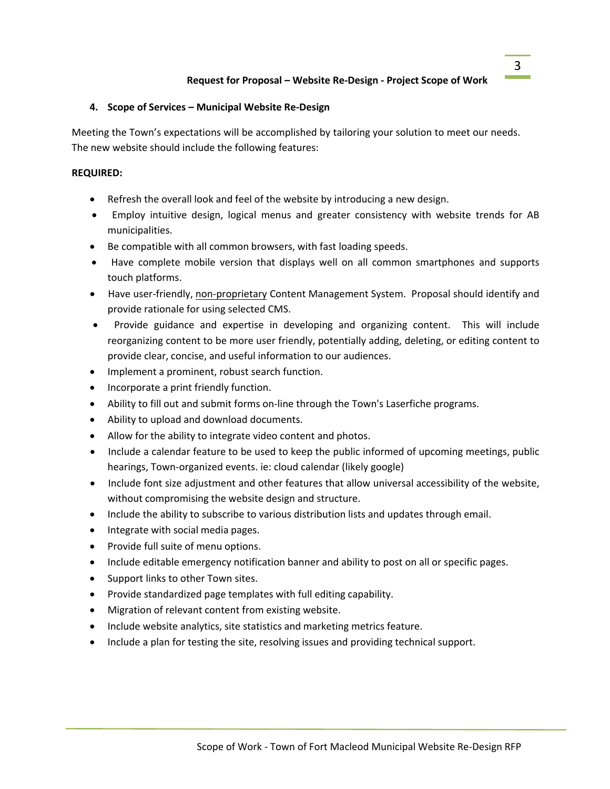# **4. Scope of Services – Municipal Website Re-Design**

Meeting the Town's expectations will be accomplished by tailoring your solution to meet our needs. The new website should include the following features:

# **REQUIRED:**

- Refresh the overall look and feel of the website by introducing a new design.
- Employ intuitive design, logical menus and greater consistency with website trends for AB municipalities.
- Be compatible with all common browsers, with fast loading speeds.
- Have complete mobile version that displays well on all common smartphones and supports touch platforms.
- Have user-friendly, non-proprietary Content Management System. Proposal should identify and provide rationale for using selected CMS.
- Provide guidance and expertise in developing and organizing content. This will include reorganizing content to be more user friendly, potentially adding, deleting, or editing content to provide clear, concise, and useful information to our audiences.
- Implement a prominent, robust search function.
- Incorporate a print friendly function.
- Ability to fill out and submit forms on-line through the Town's Laserfiche programs.
- Ability to upload and download documents.
- Allow for the ability to integrate video content and photos.
- Include a calendar feature to be used to keep the public informed of upcoming meetings, public hearings, Town-organized events. ie: cloud calendar (likely google)
- Include font size adjustment and other features that allow universal accessibility of the website, without compromising the website design and structure.
- Include the ability to subscribe to various distribution lists and updates through email.
- Integrate with social media pages.
- Provide full suite of menu options.
- Include editable emergency notification banner and ability to post on all or specific pages.
- Support links to other Town sites.
- Provide standardized page templates with full editing capability.
- Migration of relevant content from existing website.
- Include website analytics, site statistics and marketing metrics feature.
- Include a plan for testing the site, resolving issues and providing technical support.

3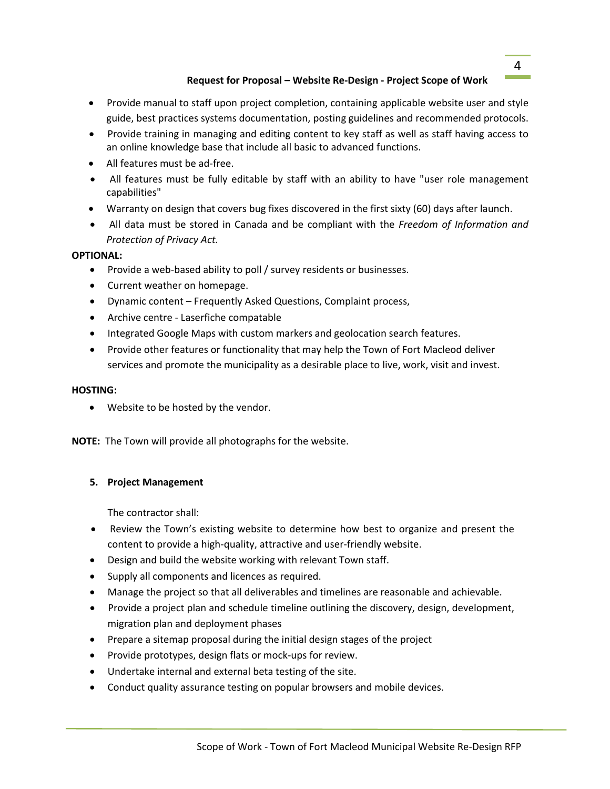# **Request for Proposal – Website Re-Design - Project Scope of Work**

- Provide manual to staff upon project completion, containing applicable website user and style guide, best practices systems documentation, posting guidelines and recommended protocols.
- Provide training in managing and editing content to key staff as well as staff having access to an online knowledge base that include all basic to advanced functions.
- All features must be ad-free.
- All features must be fully editable by staff with an ability to have "user role management capabilities"
- Warranty on design that covers bug fixes discovered in the first sixty (60) days after launch.
- All data must be stored in Canada and be compliant with the *Freedom of Information and Protection of Privacy Act.*

#### **OPTIONAL:**

- Provide a web-based ability to poll / survey residents or businesses.
- Current weather on homepage.
- Dynamic content Frequently Asked Questions, Complaint process,
- Archive centre Laserfiche compatable
- Integrated Google Maps with custom markers and geolocation search features.
- Provide other features or functionality that may help the Town of Fort Macleod deliver services and promote the municipality as a desirable place to live, work, visit and invest.

### **HOSTING:**

• Website to be hosted by the vendor.

**NOTE:** The Town will provide all photographs for the website.

# **5. Project Management**

The contractor shall:

- Review the Town's existing website to determine how best to organize and present the content to provide a high-quality, attractive and user-friendly website.
- Design and build the website working with relevant Town staff.
- Supply all components and licences as required.
- Manage the project so that all deliverables and timelines are reasonable and achievable.
- Provide a project plan and schedule timeline outlining the discovery, design, development, migration plan and deployment phases
- Prepare a sitemap proposal during the initial design stages of the project
- Provide prototypes, design flats or mock-ups for review.
- Undertake internal and external beta testing of the site.
- Conduct quality assurance testing on popular browsers and mobile devices.